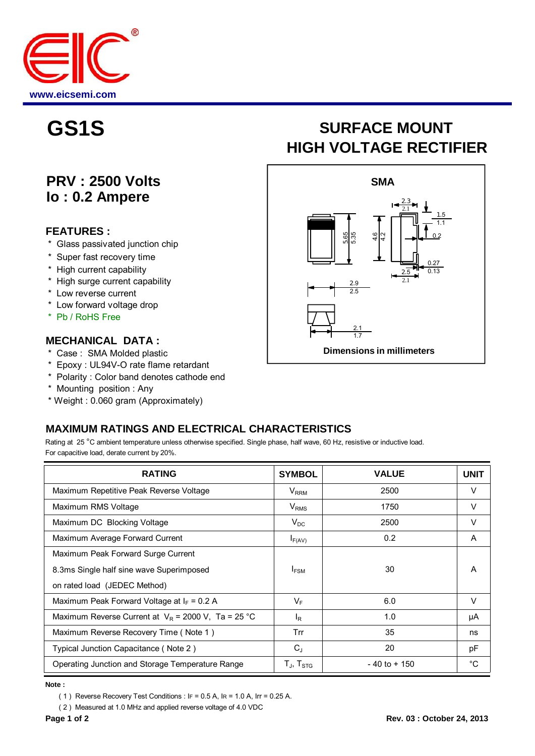

## **PRV : 2500 Volts Io : 0.2 Ampere**

#### **FEATURES :**

- \* Glass passivated junction chip
- \* Super fast recovery time
- \* High current capability
- \* High surge current capability
- \* Low reverse current
- \* Low forward voltage drop
- \* Pb / RoHS Free

#### **MECHANICAL DATA :**

- \* Case : SMA Molded plastic
- \* Epoxy : UL94V-O rate flame retardant
- \* Polarity : Color band denotes cathode end
- \* Mounting position : Any
- \* Weight : 0.060 gram (Approximately)

# **GS1S SURFACE MOUNT HIGH VOLTAGE RECTIFIER**



### **MAXIMUM RATINGS AND ELECTRICAL CHARACTERISTICS**

Rating at 25 °C ambient temperature unless otherwise specified. Single phase, half wave, 60 Hz, resistive or inductive load. For capacitive load, derate current by 20%.

| <b>RATING</b>                                         | <b>SYMBOL</b>                                           | <b>VALUE</b>    | <b>UNIT</b> |
|-------------------------------------------------------|---------------------------------------------------------|-----------------|-------------|
| Maximum Repetitive Peak Reverse Voltage               | $V_{RRM}$                                               | 2500            | V           |
| Maximum RMS Voltage                                   | $V_{RMS}$                                               | 1750            | V           |
| Maximum DC Blocking Voltage                           | $V_{DC}$                                                | 2500            | V           |
| Maximum Average Forward Current                       | $I_{F(AV)}$                                             | 0.2             | A           |
| Maximum Peak Forward Surge Current                    |                                                         |                 |             |
| 8.3ms Single half sine wave Superimposed              | $I_{FSM}$                                               | 30              | A           |
| on rated load (JEDEC Method)                          |                                                         |                 |             |
| Maximum Peak Forward Voltage at $I_F = 0.2$ A         | $V_F$                                                   | 6.0             | $\vee$      |
| Maximum Reverse Current at $V_R$ = 2000 V, Ta = 25 °C | l <sub>R</sub>                                          | 1.0             | μA          |
| Maximum Reverse Recovery Time (Note 1)                | Trr                                                     | 35              | ns          |
| Typical Junction Capacitance (Note 2)                 | $C_{J}$                                                 | 20              | pF          |
| Operating Junction and Storage Temperature Range      | $\mathsf{T}_{\mathsf{J}}$ , $\mathsf{T}_{\mathsf{STG}}$ | $-40$ to $+150$ | $^{\circ}C$ |

**Note :**

( 1 ) Reverse Recovery Test Conditions : IF = 0.5 A, IR = 1.0 A, Irr = 0.25 A.

( 2 ) Measured at 1.0 MHz and applied reverse voltage of 4.0 VDC